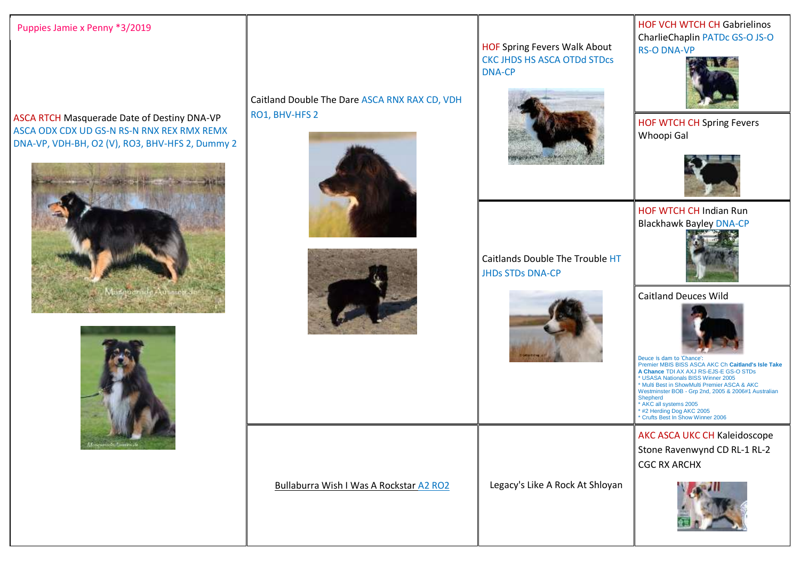## Puppies Jamie x Penny \*3/2019

ASCA RTCH Masquerade Date of Destiny DNA-VP ASCA ODX CDX UD GS-N RS-N RNX REX RMX REMX DNA-VP, VDH-BH, O2 (V), RO3, BHV-HFS 2, Dummy 2





Caitland Double The Dare ASCA RNX RAX CD, VDH RO1, BHV-HFS 2





Bullaburra Wish I Was A Rockstar A2 RO2 Legacy's Like A Rock At Shloyan



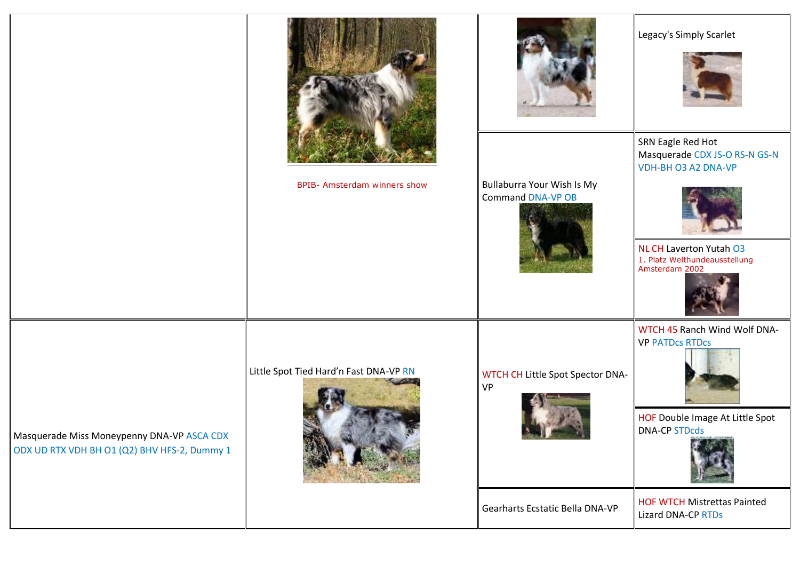